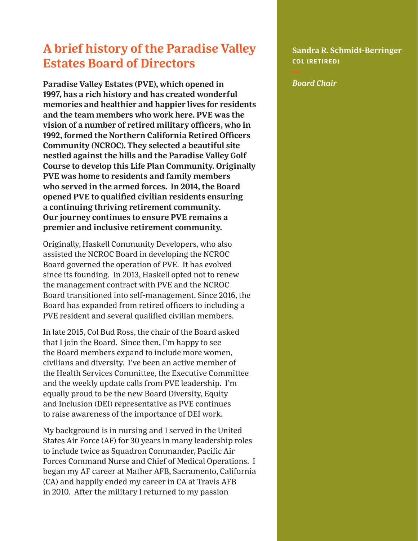## **A brief history of the Paradise Valley Estates Board of Directors**

**Paradise Valley Estates (PVE), which opened in 1997, has a rich history and has created wonderful memories and healthier and happier lives for residents and the team members who work here. PVE was the vision of a number of retired military officers, who in 1992, formed the Northern California Retired Officers Community (NCROC). They selected a beautiful site nestled against the hills and the Paradise Valley Golf Course to develop this Life Plan Community. Originally PVE was home to residents and family members who served in the armed forces. In 2014, the Board opened PVE to qualified civilian residents ensuring a continuing thriving retirement community. Our journey continues to ensure PVE remains a premier and inclusive retirement community.** 

Originally, Haskell Community Developers, who also assisted the NCROC Board in developing the NCROC Board governed the operation of PVE. It has evolved since its founding. In 2013, Haskell opted not to renew the management contract with PVE and the NCROC Board transitioned into self-management. Since 2016, the Board has expanded from retired officers to including a PVE resident and several qualified civilian members.

In late 2015, Col Bud Ross, the chair of the Board asked that I join the Board. Since then, I'm happy to see the Board members expand to include more women, civilians and diversity. I've been an active member of the Health Services Committee, the Executive Committee and the weekly update calls from PVE leadership. I'm equally proud to be the new Board Diversity, Equity and Inclusion (DEI) representative as PVE continues to raise awareness of the importance of DEI work.

My background is in nursing and I served in the United States Air Force (AF) for 30 years in many leadership roles to include twice as Squadron Commander, Pacific Air Forces Command Nurse and Chief of Medical Operations. I began my AF career at Mather AFB, Sacramento, California (CA) and happily ended my career in CA at Travis AFB in 2010. After the military I returned to my passion

**Sandra R. Schmidt-Berringer COL (RETIRED)**

*Board Chair*